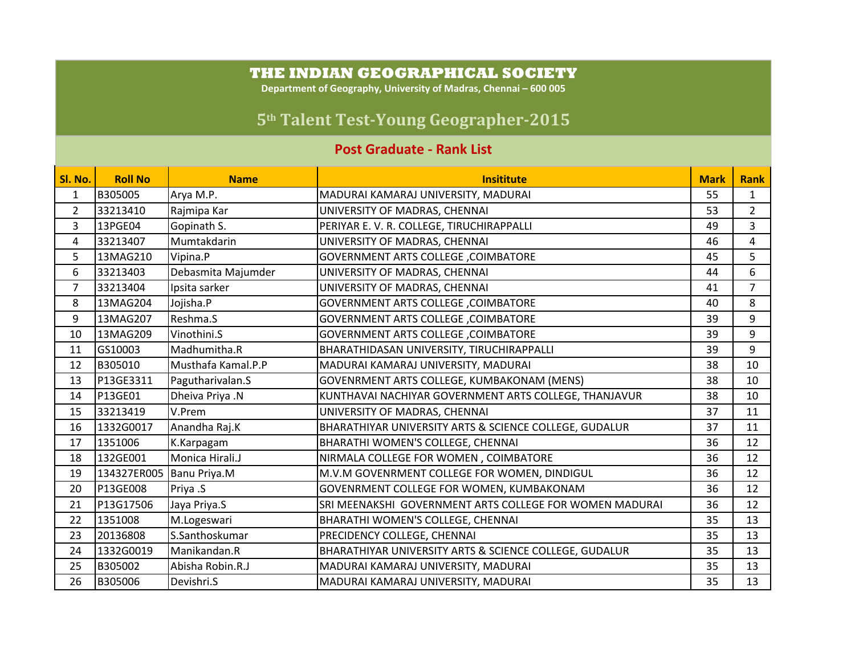## **THE INDIAN GEOGRAPHICAL SOCIETY**

**Department of Geography, University of Madras, Chennai – 600 005**

## **5th Talent TestYoung Geographer2015**

## **Post Graduate - Rank List**

| Sl. No.        | <b>Roll No</b> | <b>Name</b>        | <b>Insititute</b>                                       | <b>Mark</b> | <b>Rank</b>    |
|----------------|----------------|--------------------|---------------------------------------------------------|-------------|----------------|
| 1              | B305005        | Arya M.P.          | MADURAI KAMARAJ UNIVERSITY, MADURAI                     | 55          | $\mathbf{1}$   |
| $\overline{2}$ | 33213410       | Rajmipa Kar        | UNIVERSITY OF MADRAS, CHENNAI                           | 53          | $\overline{2}$ |
| 3              | 13PGE04        | Gopinath S.        | PERIYAR E. V. R. COLLEGE, TIRUCHIRAPPALLI               | 49          | $\overline{3}$ |
| 4              | 33213407       | Mumtakdarin        | UNIVERSITY OF MADRAS, CHENNAI                           | 46          | 4              |
| 5              | 13MAG210       | Vipina.P           | <b>GOVERNMENT ARTS COLLEGE, COIMBATORE</b>              | 45          | 5              |
| 6              | 33213403       | Debasmita Majumder | UNIVERSITY OF MADRAS, CHENNAI                           | 44          | 6              |
| 7              | 33213404       | Ipsita sarker      | UNIVERSITY OF MADRAS, CHENNAI                           | 41          | $\overline{7}$ |
| 8              | 13MAG204       | Jojisha.P          | <b>GOVERNMENT ARTS COLLEGE, COIMBATORE</b>              | 40          | 8              |
| 9              | 13MAG207       | Reshma.S           | <b>GOVERNMENT ARTS COLLEGE, COIMBATORE</b>              | 39          | 9              |
| 10             | 13MAG209       | Vinothini.S        | <b>GOVERNMENT ARTS COLLEGE , COIMBATORE</b>             | 39          | 9              |
| 11             | GS10003        | Madhumitha.R       | BHARATHIDASAN UNIVERSITY, TIRUCHIRAPPALLI               | 39          | 9              |
| 12             | B305010        | Musthafa Kamal.P.P | MADURAI KAMARAJ UNIVERSITY, MADURAI                     | 38          | 10             |
| 13             | P13GE3311      | Pagutharivalan.S   | GOVENRMENT ARTS COLLEGE, KUMBAKONAM (MENS)              | 38          | 10             |
| 14             | P13GE01        | Dheiva Priya .N    | KUNTHAVAI NACHIYAR GOVERNMENT ARTS COLLEGE, THANJAVUR   | 38          | 10             |
| 15             | 33213419       | V.Prem             | UNIVERSITY OF MADRAS, CHENNAI                           | 37          | 11             |
| 16             | 1332G0017      | Anandha Raj.K      | BHARATHIYAR UNIVERSITY ARTS & SCIENCE COLLEGE, GUDALUR  | 37          | 11             |
| 17             | 1351006        | K.Karpagam         | BHARATHI WOMEN'S COLLEGE, CHENNAI                       | 36          | 12             |
| 18             | 132GE001       | Monica Hirali.J    | NIRMALA COLLEGE FOR WOMEN, COIMBATORE                   | 36          | 12             |
| 19             | 134327ER005    | Banu Priya.M       | M.V.M GOVENRMENT COLLEGE FOR WOMEN, DINDIGUL            | 36          | 12             |
| 20             | P13GE008       | Priya .S           | GOVENRMENT COLLEGE FOR WOMEN, KUMBAKONAM                | 36          | 12             |
| 21             | P13G17506      | Jaya Priya.S       | SRI MEENAKSHI GOVERNMENT ARTS COLLEGE FOR WOMEN MADURAI | 36          | 12             |
| 22             | 1351008        | M.Logeswari        | BHARATHI WOMEN'S COLLEGE, CHENNAI                       | 35          | 13             |
| 23             | 20136808       | S.Santhoskumar     | PRECIDENCY COLLEGE, CHENNAI                             | 35          | 13             |
| 24             | 1332G0019      | Manikandan.R       | BHARATHIYAR UNIVERSITY ARTS & SCIENCE COLLEGE, GUDALUR  | 35          | 13             |
| 25             | B305002        | Abisha Robin.R.J   | MADURAI KAMARAJ UNIVERSITY, MADURAI                     | 35          | 13             |
| 26             | B305006        | Devishri.S         | MADURAI KAMARAJ UNIVERSITY, MADURAI                     | 35          | 13             |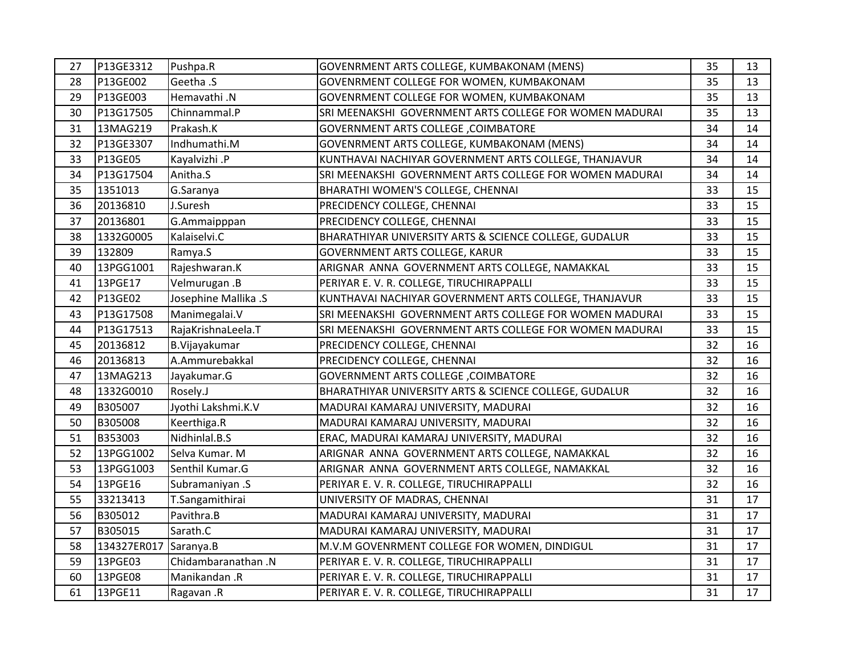| 27 | P13GE3312   | Pushpa.R             | GOVENRMENT ARTS COLLEGE, KUMBAKONAM (MENS)              | 35 | 13 |
|----|-------------|----------------------|---------------------------------------------------------|----|----|
| 28 | P13GE002    | Geetha .S            | GOVENRMENT COLLEGE FOR WOMEN, KUMBAKONAM                | 35 | 13 |
| 29 | P13GE003    | Hemavathi.N          | GOVENRMENT COLLEGE FOR WOMEN, KUMBAKONAM                | 35 | 13 |
| 30 | P13G17505   | Chinnammal.P         | SRI MEENAKSHI GOVERNMENT ARTS COLLEGE FOR WOMEN MADURAI | 35 | 13 |
| 31 | 13MAG219    | Prakash.K            | <b>GOVERNMENT ARTS COLLEGE, COIMBATORE</b>              | 34 | 14 |
| 32 | P13GE3307   | Indhumathi.M         | GOVENRMENT ARTS COLLEGE, KUMBAKONAM (MENS)              | 34 | 14 |
| 33 | P13GE05     | Kayalvizhi .P        | KUNTHAVAI NACHIYAR GOVERNMENT ARTS COLLEGE, THANJAVUR   | 34 | 14 |
| 34 | P13G17504   | Anitha.S             | SRI MEENAKSHI GOVERNMENT ARTS COLLEGE FOR WOMEN MADURAI | 34 | 14 |
| 35 | 1351013     | G.Saranya            | BHARATHI WOMEN'S COLLEGE, CHENNAI                       | 33 | 15 |
| 36 | 20136810    | J.Suresh             | PRECIDENCY COLLEGE, CHENNAI                             | 33 | 15 |
| 37 | 20136801    | G.Ammaipppan         | PRECIDENCY COLLEGE, CHENNAI                             | 33 | 15 |
| 38 | 1332G0005   | Kalaiselvi.C         | BHARATHIYAR UNIVERSITY ARTS & SCIENCE COLLEGE, GUDALUR  | 33 | 15 |
| 39 | 132809      | Ramya.S              | GOVERNMENT ARTS COLLEGE, KARUR                          | 33 | 15 |
| 40 | 13PGG1001   | Rajeshwaran.K        | ARIGNAR ANNA GOVERNMENT ARTS COLLEGE, NAMAKKAL          | 33 | 15 |
| 41 | 13PGE17     | Velmurugan.B         | PERIYAR E. V. R. COLLEGE, TIRUCHIRAPPALLI               | 33 | 15 |
| 42 | P13GE02     | Josephine Mallika .S | KUNTHAVAI NACHIYAR GOVERNMENT ARTS COLLEGE, THANJAVUR   | 33 | 15 |
| 43 | P13G17508   | Manimegalai.V        | SRI MEENAKSHI GOVERNMENT ARTS COLLEGE FOR WOMEN MADURAI | 33 | 15 |
| 44 | P13G17513   | RajaKrishnaLeela.T   | SRI MEENAKSHI GOVERNMENT ARTS COLLEGE FOR WOMEN MADURAI | 33 | 15 |
| 45 | 20136812    | B.Vijayakumar        | PRECIDENCY COLLEGE, CHENNAI                             | 32 | 16 |
| 46 | 20136813    | A.Ammurebakkal       | PRECIDENCY COLLEGE, CHENNAI                             | 32 | 16 |
| 47 | 13MAG213    | Jayakumar.G          | <b>GOVERNMENT ARTS COLLEGE, COIMBATORE</b>              | 32 | 16 |
| 48 | 1332G0010   | Rosely.J             | BHARATHIYAR UNIVERSITY ARTS & SCIENCE COLLEGE, GUDALUR  | 32 | 16 |
| 49 | B305007     | Jyothi Lakshmi.K.V   | MADURAI KAMARAJ UNIVERSITY, MADURAI                     | 32 | 16 |
| 50 | B305008     | Keerthiga.R          | MADURAI KAMARAJ UNIVERSITY, MADURAI                     | 32 | 16 |
| 51 | B353003     | Nidhinlal.B.S        | ERAC, MADURAI KAMARAJ UNIVERSITY, MADURAI               | 32 | 16 |
| 52 | 13PGG1002   | Selva Kumar. M       | ARIGNAR ANNA GOVERNMENT ARTS COLLEGE, NAMAKKAL          | 32 | 16 |
| 53 | 13PGG1003   | Senthil Kumar.G      | ARIGNAR ANNA GOVERNMENT ARTS COLLEGE, NAMAKKAL          | 32 | 16 |
| 54 | 13PGE16     | Subramaniyan .S      | PERIYAR E.V. R. COLLEGE, TIRUCHIRAPPALLI                | 32 | 16 |
| 55 | 33213413    | T.Sangamithirai      | UNIVERSITY OF MADRAS, CHENNAI                           | 31 | 17 |
| 56 | B305012     | Pavithra.B           | MADURAI KAMARAJ UNIVERSITY, MADURAI                     | 31 | 17 |
| 57 | B305015     | Sarath.C             | MADURAI KAMARAJ UNIVERSITY, MADURAI                     | 31 | 17 |
| 58 | 134327ER017 | Saranya.B            | M.V.M GOVENRMENT COLLEGE FOR WOMEN, DINDIGUL            | 31 | 17 |
| 59 | 13PGE03     | Chidambaranathan .N  | PERIYAR E. V. R. COLLEGE, TIRUCHIRAPPALLI               | 31 | 17 |
| 60 | 13PGE08     | Manikandan .R        | PERIYAR E. V. R. COLLEGE, TIRUCHIRAPPALLI               | 31 | 17 |
| 61 | 13PGE11     | Ragavan .R           | PERIYAR E. V. R. COLLEGE, TIRUCHIRAPPALLI               | 31 | 17 |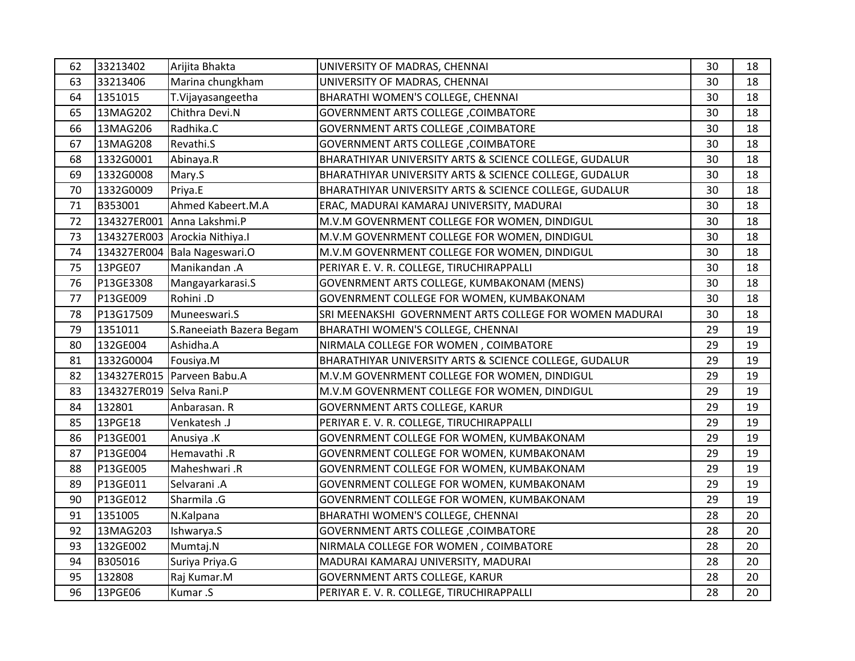| 62 | 33213402                 | Arijita Bhakta                | UNIVERSITY OF MADRAS, CHENNAI                           | 30 | 18 |
|----|--------------------------|-------------------------------|---------------------------------------------------------|----|----|
| 63 | 33213406                 | Marina chungkham              | UNIVERSITY OF MADRAS, CHENNAI                           | 30 | 18 |
| 64 | 1351015                  | T.Vijayasangeetha             | BHARATHI WOMEN'S COLLEGE, CHENNAI                       | 30 | 18 |
| 65 | 13MAG202                 | Chithra Devi.N                | <b>GOVERNMENT ARTS COLLEGE, COIMBATORE</b>              | 30 | 18 |
| 66 | 13MAG206                 | Radhika.C                     | <b>GOVERNMENT ARTS COLLEGE , COIMBATORE</b>             | 30 | 18 |
| 67 | 13MAG208                 | Revathi.S                     | <b>GOVERNMENT ARTS COLLEGE , COIMBATORE</b>             | 30 | 18 |
| 68 | 1332G0001                | Abinaya.R                     | BHARATHIYAR UNIVERSITY ARTS & SCIENCE COLLEGE, GUDALUR  | 30 | 18 |
| 69 | 1332G0008                | Mary.S                        | BHARATHIYAR UNIVERSITY ARTS & SCIENCE COLLEGE, GUDALUR  | 30 | 18 |
| 70 | 1332G0009                | Priya.E                       | BHARATHIYAR UNIVERSITY ARTS & SCIENCE COLLEGE, GUDALUR  | 30 | 18 |
| 71 | B353001                  | Ahmed Kabeert.M.A             | ERAC, MADURAI KAMARAJ UNIVERSITY, MADURAI               | 30 | 18 |
| 72 |                          | 134327ER001 Anna Lakshmi.P    | M.V.M GOVENRMENT COLLEGE FOR WOMEN, DINDIGUL            | 30 | 18 |
| 73 |                          | 134327ER003 Arockia Nithiya.I | M.V.M GOVENRMENT COLLEGE FOR WOMEN, DINDIGUL            | 30 | 18 |
| 74 |                          | 134327ER004 Bala Nageswari.O  | M.V.M GOVENRMENT COLLEGE FOR WOMEN, DINDIGUL            | 30 | 18 |
| 75 | 13PGE07                  | Manikandan .A                 | PERIYAR E. V. R. COLLEGE, TIRUCHIRAPPALLI               | 30 | 18 |
| 76 | P13GE3308                | Mangayarkarasi.S              | GOVENRMENT ARTS COLLEGE, KUMBAKONAM (MENS)              | 30 | 18 |
| 77 | P13GE009                 | Rohini .D                     | GOVENRMENT COLLEGE FOR WOMEN, KUMBAKONAM                | 30 | 18 |
| 78 | P13G17509                | Muneeswari.S                  | SRI MEENAKSHI GOVERNMENT ARTS COLLEGE FOR WOMEN MADURAI | 30 | 18 |
| 79 | 1351011                  | S.Raneeiath Bazera Begam      | BHARATHI WOMEN'S COLLEGE, CHENNAI                       | 29 | 19 |
| 80 | 132GE004                 | Ashidha.A                     | NIRMALA COLLEGE FOR WOMEN, COIMBATORE                   | 29 | 19 |
| 81 | 1332G0004                | Fousiya.M                     | BHARATHIYAR UNIVERSITY ARTS & SCIENCE COLLEGE, GUDALUR  | 29 | 19 |
| 82 |                          | 134327ER015 Parveen Babu.A    | M.V.M GOVENRMENT COLLEGE FOR WOMEN, DINDIGUL            | 29 | 19 |
| 83 | 134327ER019 Selva Rani.P |                               | M.V.M GOVENRMENT COLLEGE FOR WOMEN, DINDIGUL            | 29 | 19 |
| 84 | 132801                   | Anbarasan. R                  | <b>GOVERNMENT ARTS COLLEGE, KARUR</b>                   | 29 | 19 |
| 85 | 13PGE18                  | Venkatesh .J                  | PERIYAR E. V. R. COLLEGE, TIRUCHIRAPPALLI               | 29 | 19 |
| 86 | P13GE001                 | Anusiya .K                    | GOVENRMENT COLLEGE FOR WOMEN, KUMBAKONAM                | 29 | 19 |
| 87 | P13GE004                 | Hemavathi .R                  | GOVENRMENT COLLEGE FOR WOMEN, KUMBAKONAM                | 29 | 19 |
| 88 | P13GE005                 | Maheshwari .R                 | GOVENRMENT COLLEGE FOR WOMEN, KUMBAKONAM                | 29 | 19 |
| 89 | P13GE011                 | Selvarani .A                  | GOVENRMENT COLLEGE FOR WOMEN, KUMBAKONAM                | 29 | 19 |
| 90 | P13GE012                 | Sharmila .G                   | GOVENRMENT COLLEGE FOR WOMEN, KUMBAKONAM                | 29 | 19 |
| 91 | 1351005                  | N.Kalpana                     | BHARATHI WOMEN'S COLLEGE, CHENNAI                       | 28 | 20 |
| 92 | 13MAG203                 | Ishwarya.S                    | <b>GOVERNMENT ARTS COLLEGE, COIMBATORE</b>              | 28 | 20 |
| 93 | 132GE002                 | Mumtaj.N                      | NIRMALA COLLEGE FOR WOMEN, COIMBATORE                   | 28 | 20 |
| 94 | B305016                  | Suriya Priya.G                | MADURAI KAMARAJ UNIVERSITY, MADURAI                     | 28 | 20 |
| 95 | 132808                   | Raj Kumar.M                   | <b>GOVERNMENT ARTS COLLEGE, KARUR</b>                   | 28 | 20 |
| 96 | 13PGE06                  | Kumar .S                      | PERIYAR E. V. R. COLLEGE, TIRUCHIRAPPALLI               | 28 | 20 |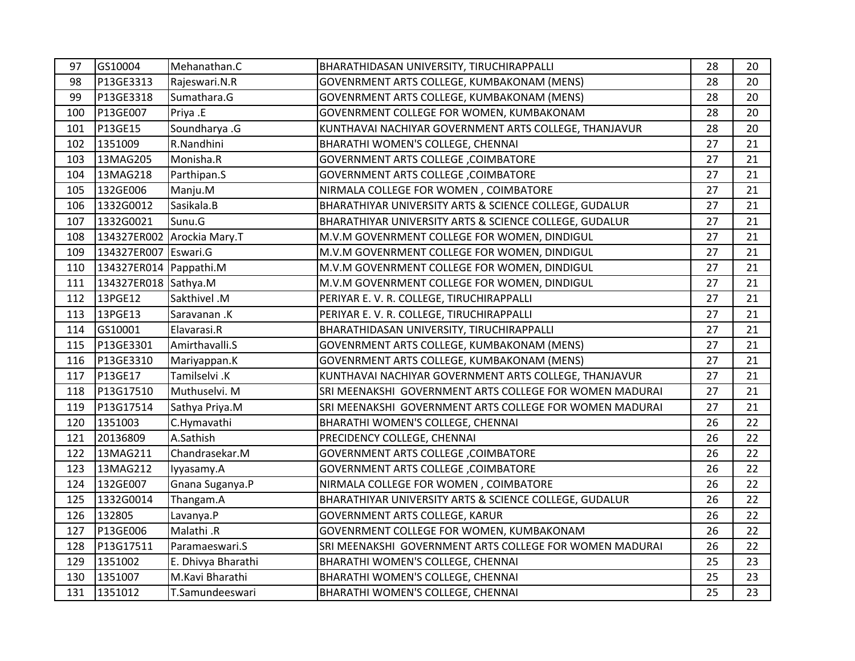| 97  | GS10004                | Mehanathan.C               | BHARATHIDASAN UNIVERSITY, TIRUCHIRAPPALLI               | 28 | 20 |
|-----|------------------------|----------------------------|---------------------------------------------------------|----|----|
| 98  | P13GE3313              | Rajeswari.N.R              | GOVENRMENT ARTS COLLEGE, KUMBAKONAM (MENS)              | 28 | 20 |
| 99  | P13GE3318              | Sumathara.G                | GOVENRMENT ARTS COLLEGE, KUMBAKONAM (MENS)              | 28 | 20 |
| 100 | P13GE007               | Priya .E                   | GOVENRMENT COLLEGE FOR WOMEN, KUMBAKONAM                | 28 | 20 |
| 101 | P13GE15                | Soundharya .G              | KUNTHAVAI NACHIYAR GOVERNMENT ARTS COLLEGE, THANJAVUR   | 28 | 20 |
| 102 | 1351009                | R.Nandhini                 | BHARATHI WOMEN'S COLLEGE, CHENNAI                       | 27 | 21 |
| 103 | 13MAG205               | Monisha.R                  | <b>GOVERNMENT ARTS COLLEGE, COIMBATORE</b>              | 27 | 21 |
| 104 | 13MAG218               | Parthipan.S                | <b>GOVERNMENT ARTS COLLEGE, COIMBATORE</b>              | 27 | 21 |
| 105 | 132GE006               | Manju.M                    | NIRMALA COLLEGE FOR WOMEN, COIMBATORE                   | 27 | 21 |
| 106 | 1332G0012              | Sasikala.B                 | BHARATHIYAR UNIVERSITY ARTS & SCIENCE COLLEGE, GUDALUR  | 27 | 21 |
| 107 | 1332G0021              | Sunu.G                     | BHARATHIYAR UNIVERSITY ARTS & SCIENCE COLLEGE, GUDALUR  | 27 | 21 |
| 108 |                        | 134327ER002 Arockia Mary.T | M.V.M GOVENRMENT COLLEGE FOR WOMEN, DINDIGUL            | 27 | 21 |
| 109 | 134327ER007 Eswari.G   |                            | M.V.M GOVENRMENT COLLEGE FOR WOMEN, DINDIGUL            | 27 | 21 |
| 110 | 134327ER014 Pappathi.M |                            | M.V.M GOVENRMENT COLLEGE FOR WOMEN, DINDIGUL            | 27 | 21 |
| 111 | 134327ER018 Sathya.M   |                            | M.V.M GOVENRMENT COLLEGE FOR WOMEN, DINDIGUL            | 27 | 21 |
| 112 | 13PGE12                | Sakthivel .M               | PERIYAR E. V. R. COLLEGE, TIRUCHIRAPPALLI               | 27 | 21 |
| 113 | 13PGE13                | Saravanan.K                | PERIYAR E. V. R. COLLEGE, TIRUCHIRAPPALLI               | 27 | 21 |
| 114 | GS10001                | Elavarasi.R                | BHARATHIDASAN UNIVERSITY, TIRUCHIRAPPALLI               | 27 | 21 |
| 115 | P13GE3301              | Amirthavalli.S             | GOVENRMENT ARTS COLLEGE, KUMBAKONAM (MENS)              | 27 | 21 |
| 116 | P13GE3310              | Mariyappan.K               | GOVENRMENT ARTS COLLEGE, KUMBAKONAM (MENS)              | 27 | 21 |
| 117 | P13GE17                | Tamilselvi .K              | KUNTHAVAI NACHIYAR GOVERNMENT ARTS COLLEGE, THANJAVUR   | 27 | 21 |
| 118 | P13G17510              | Muthuselvi. M              | SRI MEENAKSHI GOVERNMENT ARTS COLLEGE FOR WOMEN MADURAI | 27 | 21 |
| 119 | P13G17514              | Sathya Priya.M             | SRI MEENAKSHI GOVERNMENT ARTS COLLEGE FOR WOMEN MADURAI | 27 | 21 |
| 120 | 1351003                | C.Hymavathi                | BHARATHI WOMEN'S COLLEGE, CHENNAI                       | 26 | 22 |
| 121 | 20136809               | A.Sathish                  | PRECIDENCY COLLEGE, CHENNAI                             | 26 | 22 |
| 122 | 13MAG211               | Chandrasekar.M             | <b>GOVERNMENT ARTS COLLEGE , COIMBATORE</b>             | 26 | 22 |
| 123 | 13MAG212               | lyyasamy.A                 | <b>GOVERNMENT ARTS COLLEGE, COIMBATORE</b>              | 26 | 22 |
| 124 | 132GE007               | Gnana Suganya.P            | NIRMALA COLLEGE FOR WOMEN, COIMBATORE                   | 26 | 22 |
| 125 | 1332G0014              | Thangam.A                  | BHARATHIYAR UNIVERSITY ARTS & SCIENCE COLLEGE, GUDALUR  | 26 | 22 |
| 126 | 132805                 | Lavanya.P                  | <b>GOVERNMENT ARTS COLLEGE, KARUR</b>                   | 26 | 22 |
| 127 | P13GE006               | Malathi .R                 | GOVENRMENT COLLEGE FOR WOMEN, KUMBAKONAM                | 26 | 22 |
| 128 | P13G17511              | Paramaeswari.S             | SRI MEENAKSHI GOVERNMENT ARTS COLLEGE FOR WOMEN MADURAI | 26 | 22 |
| 129 | 1351002                | E. Dhivya Bharathi         | BHARATHI WOMEN'S COLLEGE, CHENNAI                       | 25 | 23 |
| 130 | 1351007                | M.Kavi Bharathi            | BHARATHI WOMEN'S COLLEGE, CHENNAI                       | 25 | 23 |
| 131 | 1351012                | T.Samundeeswari            | BHARATHI WOMEN'S COLLEGE, CHENNAI                       | 25 | 23 |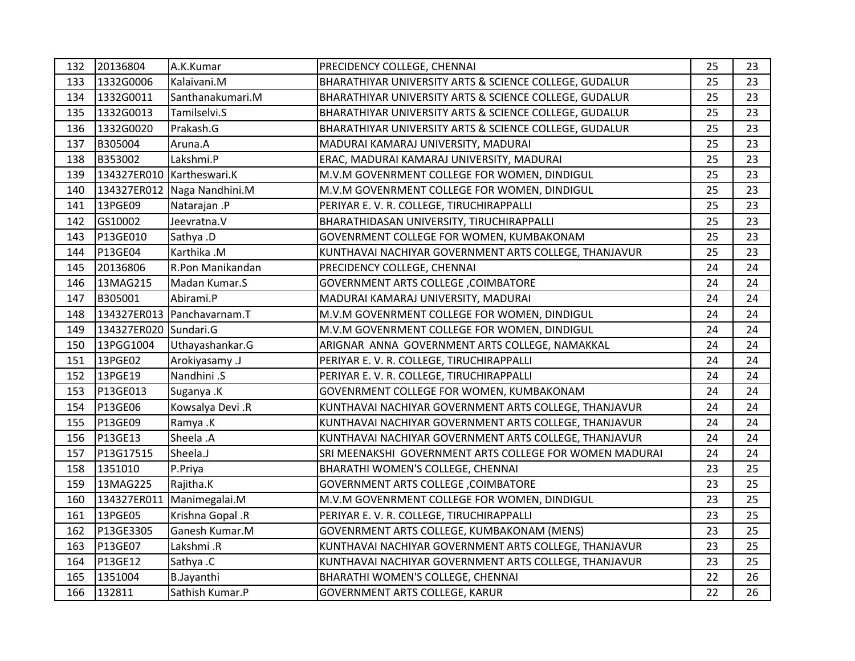| 132 | 20136804                  | A.K.Kumar                   | PRECIDENCY COLLEGE, CHENNAI                             | 25 | 23 |
|-----|---------------------------|-----------------------------|---------------------------------------------------------|----|----|
| 133 | 1332G0006                 | Kalaivani.M                 | BHARATHIYAR UNIVERSITY ARTS & SCIENCE COLLEGE, GUDALUR  | 25 | 23 |
| 134 | 1332G0011                 | Santhanakumari.M            | BHARATHIYAR UNIVERSITY ARTS & SCIENCE COLLEGE, GUDALUR  | 25 | 23 |
| 135 | 1332G0013                 | Tamilselvi.S                | BHARATHIYAR UNIVERSITY ARTS & SCIENCE COLLEGE, GUDALUR  | 25 | 23 |
| 136 | 1332G0020                 | Prakash.G                   | BHARATHIYAR UNIVERSITY ARTS & SCIENCE COLLEGE, GUDALUR  | 25 | 23 |
| 137 | B305004                   | Aruna.A                     | MADURAI KAMARAJ UNIVERSITY, MADURAI                     | 25 | 23 |
| 138 | B353002                   | Lakshmi.P                   | ERAC, MADURAI KAMARAJ UNIVERSITY, MADURAI               | 25 | 23 |
| 139 | 134327ER010 Kartheswari.K |                             | M.V.M GOVENRMENT COLLEGE FOR WOMEN, DINDIGUL            | 25 | 23 |
| 140 |                           | 134327ER012 Naga Nandhini.M | M.V.M GOVENRMENT COLLEGE FOR WOMEN, DINDIGUL            | 25 | 23 |
| 141 | 13PGE09                   | Natarajan .P                | PERIYAR E. V. R. COLLEGE, TIRUCHIRAPPALLI               | 25 | 23 |
| 142 | GS10002                   | Jeevratna.V                 | BHARATHIDASAN UNIVERSITY, TIRUCHIRAPPALLI               | 25 | 23 |
| 143 | P13GE010                  | Sathya .D                   | GOVENRMENT COLLEGE FOR WOMEN, KUMBAKONAM                | 25 | 23 |
| 144 | P13GE04                   | Karthika .M                 | KUNTHAVAI NACHIYAR GOVERNMENT ARTS COLLEGE, THANJAVUR   | 25 | 23 |
| 145 | 20136806                  | R.Pon Manikandan            | PRECIDENCY COLLEGE, CHENNAI                             | 24 | 24 |
| 146 | 13MAG215                  | Madan Kumar.S               | <b>GOVERNMENT ARTS COLLEGE , COIMBATORE</b>             | 24 | 24 |
| 147 | B305001                   | Abirami.P                   | MADURAI KAMARAJ UNIVERSITY, MADURAI                     | 24 | 24 |
| 148 |                           | 134327ER013 Panchavarnam.T  | M.V.M GOVENRMENT COLLEGE FOR WOMEN, DINDIGUL            | 24 | 24 |
| 149 | 134327ER020 Sundari.G     |                             | M.V.M GOVENRMENT COLLEGE FOR WOMEN, DINDIGUL            | 24 | 24 |
| 150 | 13PGG1004                 | Uthayashankar.G             | ARIGNAR ANNA GOVERNMENT ARTS COLLEGE, NAMAKKAL          | 24 | 24 |
| 151 | 13PGE02                   | Arokiyasamy .J              | PERIYAR E. V. R. COLLEGE, TIRUCHIRAPPALLI               | 24 | 24 |
| 152 | 13PGE19                   | Nandhini .S                 | PERIYAR E. V. R. COLLEGE, TIRUCHIRAPPALLI               | 24 | 24 |
| 153 | P13GE013                  | Suganya .K                  | GOVENRMENT COLLEGE FOR WOMEN, KUMBAKONAM                | 24 | 24 |
| 154 | P13GE06                   | Kowsalya Devi .R            | KUNTHAVAI NACHIYAR GOVERNMENT ARTS COLLEGE, THANJAVUR   | 24 | 24 |
| 155 | P13GE09                   | Ramya .K                    | KUNTHAVAI NACHIYAR GOVERNMENT ARTS COLLEGE, THANJAVUR   | 24 | 24 |
| 156 | P13GE13                   | Sheela .A                   | KUNTHAVAI NACHIYAR GOVERNMENT ARTS COLLEGE, THANJAVUR   | 24 | 24 |
| 157 | P13G17515                 | Sheela.J                    | SRI MEENAKSHI GOVERNMENT ARTS COLLEGE FOR WOMEN MADURAI | 24 | 24 |
| 158 | 1351010                   | P.Priya                     | BHARATHI WOMEN'S COLLEGE, CHENNAI                       | 23 | 25 |
| 159 | 13MAG225                  | Rajitha.K                   | <b>GOVERNMENT ARTS COLLEGE, COIMBATORE</b>              | 23 | 25 |
| 160 |                           | 134327ER011 Manimegalai.M   | M.V.M GOVENRMENT COLLEGE FOR WOMEN, DINDIGUL            | 23 | 25 |
| 161 | 13PGE05                   | Krishna Gopal .R            | PERIYAR E. V. R. COLLEGE, TIRUCHIRAPPALLI               | 23 | 25 |
| 162 | P13GE3305                 | Ganesh Kumar.M              | GOVENRMENT ARTS COLLEGE, KUMBAKONAM (MENS)              | 23 | 25 |
| 163 | P13GE07                   | Lakshmi .R                  | KUNTHAVAI NACHIYAR GOVERNMENT ARTS COLLEGE, THANJAVUR   | 23 | 25 |
| 164 | P13GE12                   | Sathya .C                   | KUNTHAVAI NACHIYAR GOVERNMENT ARTS COLLEGE, THANJAVUR   | 23 | 25 |
| 165 | 1351004                   | <b>B.Jayanthi</b>           | BHARATHI WOMEN'S COLLEGE, CHENNAI                       | 22 | 26 |
| 166 | 132811                    | Sathish Kumar.P             | <b>GOVERNMENT ARTS COLLEGE, KARUR</b>                   | 22 | 26 |